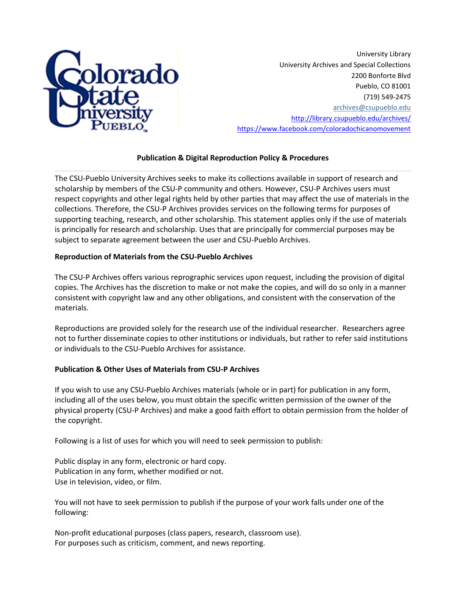

University Library University Archives and Special Collections 2200 Bonforte Blvd Pueblo, CO 81001 (719) 549-2475 [archives@csupueblo.edu](mailto:archives@csupueblo.edu) <http://library.csupueblo.edu/archives/> <https://www.facebook.com/coloradochicanomovement>

# **Publication & Digital Reproduction Policy & Procedures**

The CSU-Pueblo University Archives seeks to make its collections available in support of research and scholarship by members of the CSU-P community and others. However, CSU-P Archives users must respect copyrights and other legal rights held by other parties that may affect the use of materials in the collections. Therefore, the CSU-P Archives provides services on the following terms for purposes of supporting teaching, research, and other scholarship. This statement applies only if the use of materials is principally for research and scholarship. Uses that are principally for commercial purposes may be subject to separate agreement between the user and CSU-Pueblo Archives.

# **Reproduction of Materials from the CSU-Pueblo Archives**

The CSU-P Archives offers various reprographic services upon request, including the provision of digital copies. The Archives has the discretion to make or not make the copies, and will do so only in a manner consistent with copyright law and any other obligations, and consistent with the conservation of the materials.

Reproductions are provided solely for the research use of the individual researcher. Researchers agree not to further disseminate copies to other institutions or individuals, but rather to refer said institutions or individuals to the CSU-Pueblo Archives for assistance.

## **Publication & Other Uses of Materials from CSU-P Archives**

If you wish to use any CSU-Pueblo Archives materials (whole or in part) for publication in any form, including all of the uses below, you must obtain the specific written permission of the owner of the physical property (CSU-P Archives) and make a good faith effort to obtain permission from the holder of the copyright.

Following is a list of uses for which you will need to seek permission to publish:

Public display in any form, electronic or hard copy. Publication in any form, whether modified or not. Use in television, video, or film.

You will not have to seek permission to publish if the purpose of your work falls under one of the following:

Non-profit educational purposes (class papers, research, classroom use). For purposes such as criticism, comment, and news reporting.